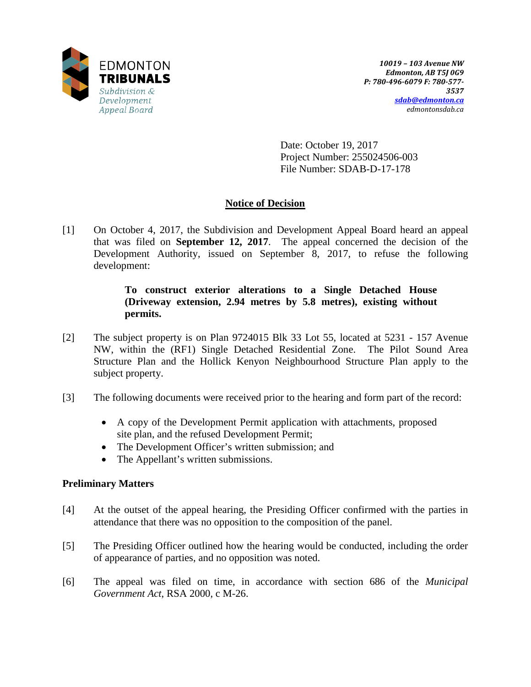

Date: October 19, 2017 Project Number: 255024506-003 File Number: SDAB-D-17-178

# **Notice of Decision**

[1] On October 4, 2017, the Subdivision and Development Appeal Board heard an appeal that was filed on **September 12, 2017**. The appeal concerned the decision of the Development Authority, issued on September 8, 2017, to refuse the following development:

## **To construct exterior alterations to a Single Detached House (Driveway extension, 2.94 metres by 5.8 metres), existing without permits.**

- [2] The subject property is on Plan 9724015 Blk 33 Lot 55, located at 5231 157 Avenue NW, within the (RF1) Single Detached Residential Zone. The Pilot Sound Area Structure Plan and the Hollick Kenyon Neighbourhood Structure Plan apply to the subject property.
- [3] The following documents were received prior to the hearing and form part of the record:
	- A copy of the Development Permit application with attachments, proposed site plan, and the refused Development Permit;
	- The Development Officer's written submission; and
	- The Appellant's written submissions.

## **Preliminary Matters**

- [4] At the outset of the appeal hearing, the Presiding Officer confirmed with the parties in attendance that there was no opposition to the composition of the panel.
- [5] The Presiding Officer outlined how the hearing would be conducted, including the order of appearance of parties, and no opposition was noted.
- [6] The appeal was filed on time, in accordance with section 686 of the *Municipal Government Act*, RSA 2000, c M-26.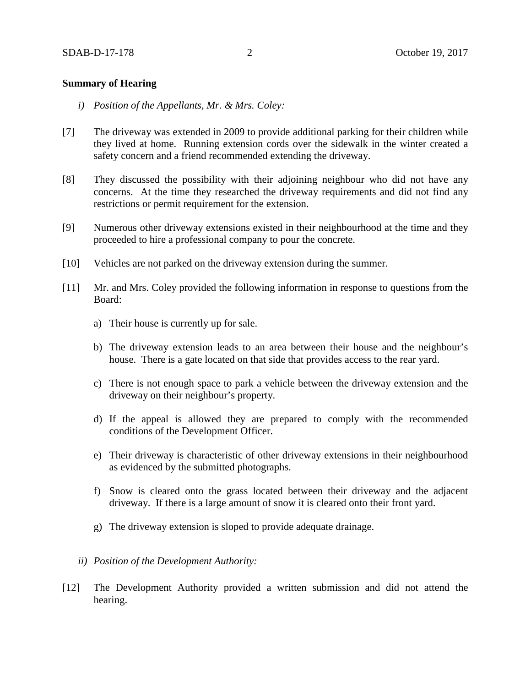### **Summary of Hearing**

- *i) Position of the Appellants, Mr. & Mrs. Coley:*
- [7] The driveway was extended in 2009 to provide additional parking for their children while they lived at home. Running extension cords over the sidewalk in the winter created a safety concern and a friend recommended extending the driveway.
- [8] They discussed the possibility with their adjoining neighbour who did not have any concerns. At the time they researched the driveway requirements and did not find any restrictions or permit requirement for the extension.
- [9] Numerous other driveway extensions existed in their neighbourhood at the time and they proceeded to hire a professional company to pour the concrete.
- [10] Vehicles are not parked on the driveway extension during the summer.
- [11] Mr. and Mrs. Coley provided the following information in response to questions from the Board:
	- a) Their house is currently up for sale.
	- b) The driveway extension leads to an area between their house and the neighbour's house. There is a gate located on that side that provides access to the rear yard.
	- c) There is not enough space to park a vehicle between the driveway extension and the driveway on their neighbour's property.
	- d) If the appeal is allowed they are prepared to comply with the recommended conditions of the Development Officer.
	- e) Their driveway is characteristic of other driveway extensions in their neighbourhood as evidenced by the submitted photographs.
	- f) Snow is cleared onto the grass located between their driveway and the adjacent driveway. If there is a large amount of snow it is cleared onto their front yard.
	- g) The driveway extension is sloped to provide adequate drainage.
	- *ii) Position of the Development Authority:*
- [12] The Development Authority provided a written submission and did not attend the hearing.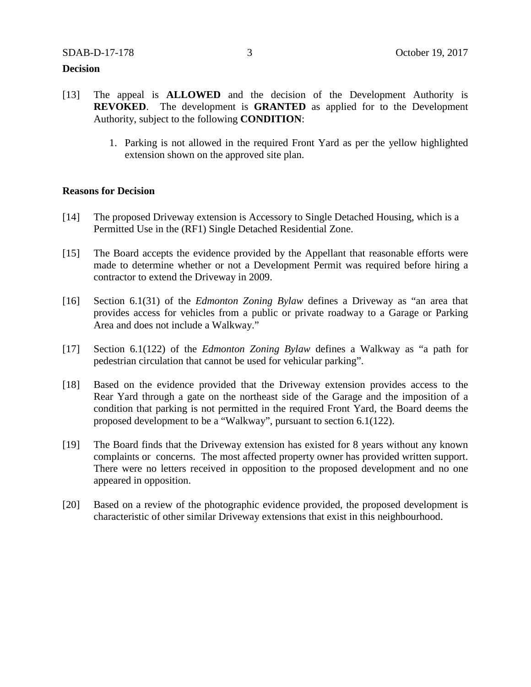#### **Decision**

- [13] The appeal is **ALLOWED** and the decision of the Development Authority is **REVOKED**. The development is **GRANTED** as applied for to the Development Authority, subject to the following **CONDITION**:
	- 1. Parking is not allowed in the required Front Yard as per the yellow highlighted extension shown on the approved site plan.

### **Reasons for Decision**

- [14] The proposed Driveway extension is Accessory to Single Detached Housing, which is a Permitted Use in the (RF1) Single Detached Residential Zone.
- [15] The Board accepts the evidence provided by the Appellant that reasonable efforts were made to determine whether or not a Development Permit was required before hiring a contractor to extend the Driveway in 2009.
- [16] Section 6.1(31) of the *Edmonton Zoning Bylaw* defines a Driveway as "an area that provides access for vehicles from a public or private roadway to a Garage or Parking Area and does not include a Walkway."
- [17] Section 6.1(122) of the *Edmonton Zoning Bylaw* defines a Walkway as "a path for pedestrian circulation that cannot be used for vehicular parking".
- [18] Based on the evidence provided that the Driveway extension provides access to the Rear Yard through a gate on the northeast side of the Garage and the imposition of a condition that parking is not permitted in the required Front Yard, the Board deems the proposed development to be a "Walkway", pursuant to section 6.1(122).
- [19] The Board finds that the Driveway extension has existed for 8 years without any known complaints or concerns. The most affected property owner has provided written support. There were no letters received in opposition to the proposed development and no one appeared in opposition.
- [20] Based on a review of the photographic evidence provided, the proposed development is characteristic of other similar Driveway extensions that exist in this neighbourhood.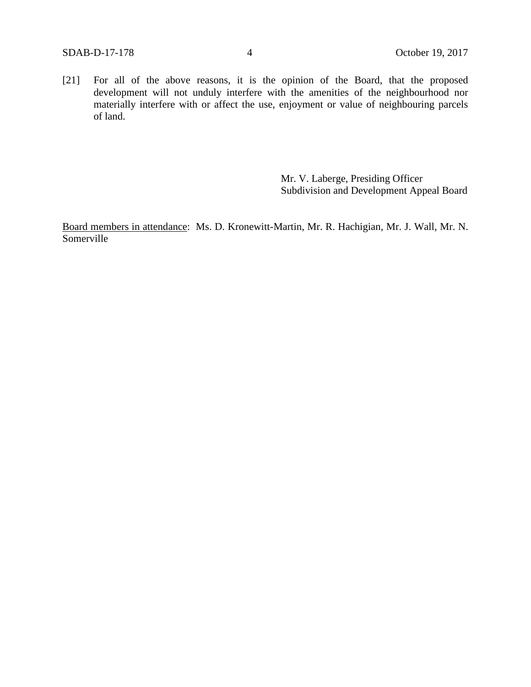[21] For all of the above reasons, it is the opinion of the Board, that the proposed development will not unduly interfere with the amenities of the neighbourhood nor materially interfere with or affect the use, enjoyment or value of neighbouring parcels of land.

> Mr. V. Laberge, Presiding Officer Subdivision and Development Appeal Board

Board members in attendance: Ms. D. Kronewitt-Martin, Mr. R. Hachigian, Mr. J. Wall, Mr. N. Somerville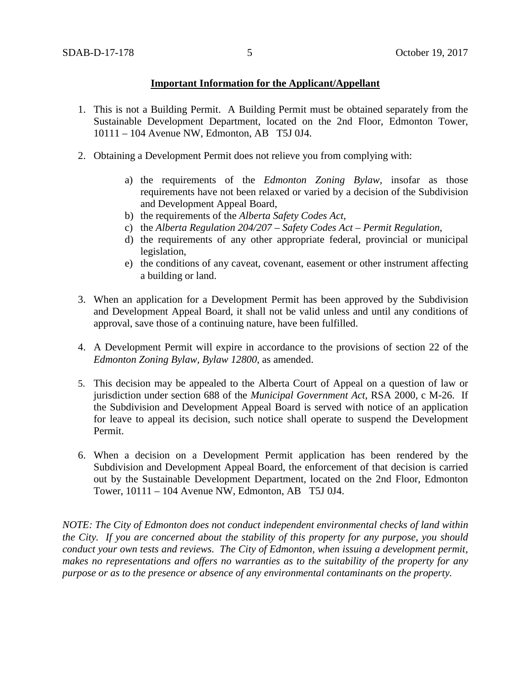## **Important Information for the Applicant/Appellant**

- 1. This is not a Building Permit. A Building Permit must be obtained separately from the Sustainable Development Department, located on the 2nd Floor, Edmonton Tower, 10111 – 104 Avenue NW, Edmonton, AB T5J 0J4.
- 2. Obtaining a Development Permit does not relieve you from complying with:
	- a) the requirements of the *Edmonton Zoning Bylaw*, insofar as those requirements have not been relaxed or varied by a decision of the Subdivision and Development Appeal Board,
	- b) the requirements of the *Alberta Safety Codes Act*,
	- c) the *Alberta Regulation 204/207 – Safety Codes Act – Permit Regulation*,
	- d) the requirements of any other appropriate federal, provincial or municipal legislation,
	- e) the conditions of any caveat, covenant, easement or other instrument affecting a building or land.
- 3. When an application for a Development Permit has been approved by the Subdivision and Development Appeal Board, it shall not be valid unless and until any conditions of approval, save those of a continuing nature, have been fulfilled.
- 4. A Development Permit will expire in accordance to the provisions of section 22 of the *Edmonton Zoning Bylaw, Bylaw 12800*, as amended.
- 5. This decision may be appealed to the Alberta Court of Appeal on a question of law or jurisdiction under section 688 of the *Municipal Government Act*, RSA 2000, c M-26. If the Subdivision and Development Appeal Board is served with notice of an application for leave to appeal its decision, such notice shall operate to suspend the Development Permit.
- 6. When a decision on a Development Permit application has been rendered by the Subdivision and Development Appeal Board, the enforcement of that decision is carried out by the Sustainable Development Department, located on the 2nd Floor, Edmonton Tower, 10111 – 104 Avenue NW, Edmonton, AB T5J 0J4.

*NOTE: The City of Edmonton does not conduct independent environmental checks of land within the City. If you are concerned about the stability of this property for any purpose, you should conduct your own tests and reviews. The City of Edmonton, when issuing a development permit, makes no representations and offers no warranties as to the suitability of the property for any purpose or as to the presence or absence of any environmental contaminants on the property.*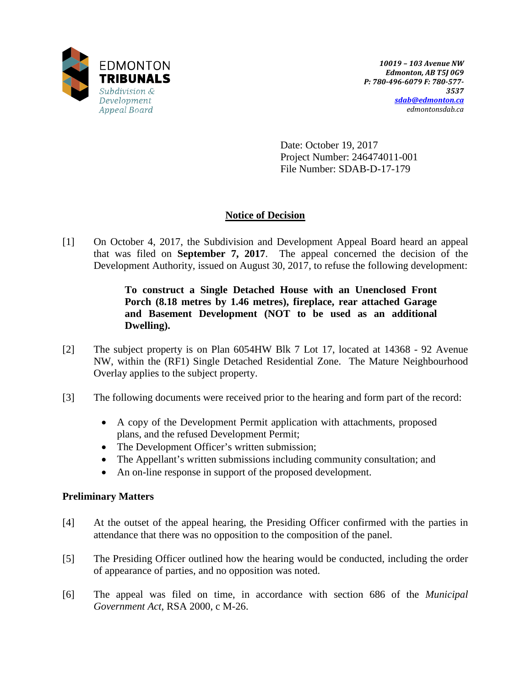

Date: October 19, 2017 Project Number: 246474011-001 File Number: SDAB-D-17-179

## **Notice of Decision**

[1] On October 4, 2017, the Subdivision and Development Appeal Board heard an appeal that was filed on **September 7, 2017**. The appeal concerned the decision of the Development Authority, issued on August 30, 2017, to refuse the following development:

> **To construct a Single Detached House with an Unenclosed Front Porch (8.18 metres by 1.46 metres), fireplace, rear attached Garage and Basement Development (NOT to be used as an additional Dwelling).**

- [2] The subject property is on Plan 6054HW Blk 7 Lot 17, located at 14368 92 Avenue NW, within the (RF1) Single Detached Residential Zone. The Mature Neighbourhood Overlay applies to the subject property.
- [3] The following documents were received prior to the hearing and form part of the record:
	- A copy of the Development Permit application with attachments, proposed plans, and the refused Development Permit;
	- The Development Officer's written submission;
	- The Appellant's written submissions including community consultation; and
	- An on-line response in support of the proposed development.

## **Preliminary Matters**

- [4] At the outset of the appeal hearing, the Presiding Officer confirmed with the parties in attendance that there was no opposition to the composition of the panel.
- [5] The Presiding Officer outlined how the hearing would be conducted, including the order of appearance of parties, and no opposition was noted.
- [6] The appeal was filed on time, in accordance with section 686 of the *Municipal Government Act*, RSA 2000, c M-26.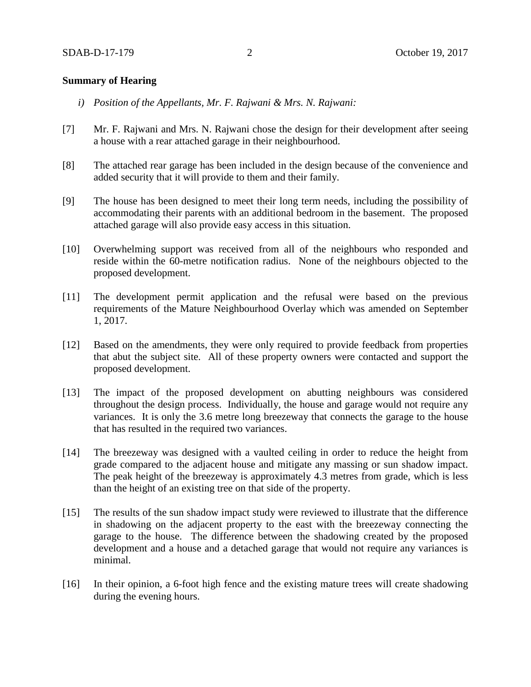### **Summary of Hearing**

- *i) Position of the Appellants, Mr. F. Rajwani & Mrs. N. Rajwani:*
- [7] Mr. F. Rajwani and Mrs. N. Rajwani chose the design for their development after seeing a house with a rear attached garage in their neighbourhood.
- [8] The attached rear garage has been included in the design because of the convenience and added security that it will provide to them and their family.
- [9] The house has been designed to meet their long term needs, including the possibility of accommodating their parents with an additional bedroom in the basement. The proposed attached garage will also provide easy access in this situation.
- [10] Overwhelming support was received from all of the neighbours who responded and reside within the 60-metre notification radius. None of the neighbours objected to the proposed development.
- [11] The development permit application and the refusal were based on the previous requirements of the Mature Neighbourhood Overlay which was amended on September 1, 2017.
- [12] Based on the amendments, they were only required to provide feedback from properties that abut the subject site. All of these property owners were contacted and support the proposed development.
- [13] The impact of the proposed development on abutting neighbours was considered throughout the design process. Individually, the house and garage would not require any variances. It is only the 3.6 metre long breezeway that connects the garage to the house that has resulted in the required two variances.
- [14] The breezeway was designed with a vaulted ceiling in order to reduce the height from grade compared to the adjacent house and mitigate any massing or sun shadow impact. The peak height of the breezeway is approximately 4.3 metres from grade, which is less than the height of an existing tree on that side of the property.
- [15] The results of the sun shadow impact study were reviewed to illustrate that the difference in shadowing on the adjacent property to the east with the breezeway connecting the garage to the house. The difference between the shadowing created by the proposed development and a house and a detached garage that would not require any variances is minimal.
- [16] In their opinion, a 6-foot high fence and the existing mature trees will create shadowing during the evening hours.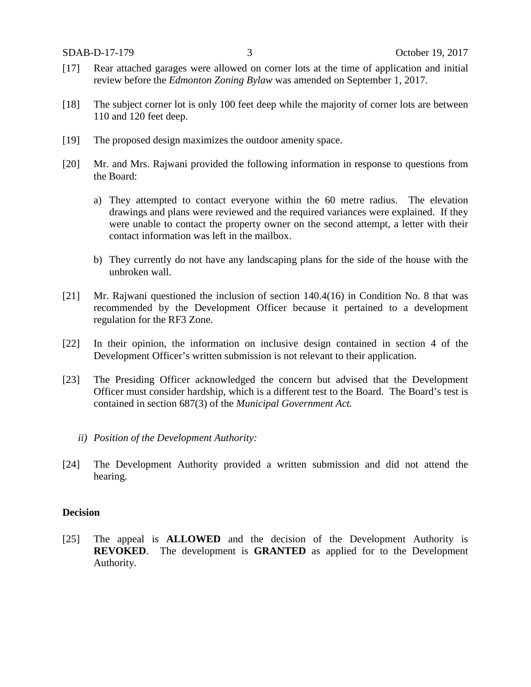- [17] Rear attached garages were allowed on corner lots at the time of application and initial review before the *Edmonton Zoning Bylaw* was amended on September 1, 2017.
- [18] The subject corner lot is only 100 feet deep while the majority of corner lots are between 110 and 120 feet deep.
- [19] The proposed design maximizes the outdoor amenity space.
- [20] Mr. and Mrs. Rajwani provided the following information in response to questions from the Board:
	- a) They attempted to contact everyone within the 60 metre radius. The elevation drawings and plans were reviewed and the required variances were explained. If they were unable to contact the property owner on the second attempt, a letter with their contact information was left in the mailbox.
	- b) They currently do not have any landscaping plans for the side of the house with the unbroken wall.
- [21] Mr. Rajwani questioned the inclusion of section 140.4(16) in Condition No. 8 that was recommended by the Development Officer because it pertained to a development regulation for the RF3 Zone.
- [22] In their opinion, the information on inclusive design contained in section 4 of the Development Officer's written submission is not relevant to their application.
- [23] The Presiding Officer acknowledged the concern but advised that the Development Officer must consider hardship, which is a different test to the Board. The Board's test is contained in section 687(3) of the *Municipal Government Act.*
	- *ii) Position of the Development Authority:*
- [24] The Development Authority provided a written submission and did not attend the hearing.

### **Decision**

[25] The appeal is **ALLOWED** and the decision of the Development Authority is **REVOKED**. The development is **GRANTED** as applied for to the Development Authority.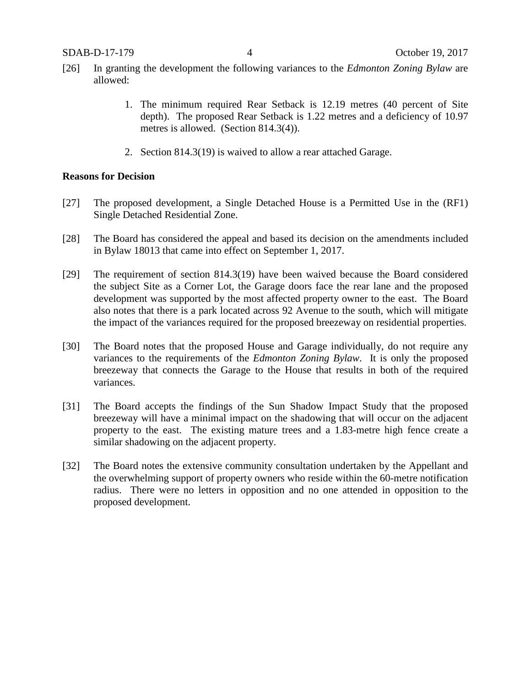- [26] In granting the development the following variances to the *Edmonton Zoning Bylaw* are allowed:
	- 1. The minimum required Rear Setback is 12.19 metres (40 percent of Site depth). The proposed Rear Setback is 1.22 metres and a deficiency of 10.97 metres is allowed. (Section 814.3(4)).
	- 2. Section 814.3(19) is waived to allow a rear attached Garage.

### **Reasons for Decision**

- [27] The proposed development, a Single Detached House is a Permitted Use in the (RF1) Single Detached Residential Zone.
- [28] The Board has considered the appeal and based its decision on the amendments included in Bylaw 18013 that came into effect on September 1, 2017.
- [29] The requirement of section 814.3(19) have been waived because the Board considered the subject Site as a Corner Lot, the Garage doors face the rear lane and the proposed development was supported by the most affected property owner to the east. The Board also notes that there is a park located across 92 Avenue to the south, which will mitigate the impact of the variances required for the proposed breezeway on residential properties.
- [30] The Board notes that the proposed House and Garage individually, do not require any variances to the requirements of the *Edmonton Zoning Bylaw*. It is only the proposed breezeway that connects the Garage to the House that results in both of the required variances.
- [31] The Board accepts the findings of the Sun Shadow Impact Study that the proposed breezeway will have a minimal impact on the shadowing that will occur on the adjacent property to the east. The existing mature trees and a 1.83-metre high fence create a similar shadowing on the adjacent property.
- [32] The Board notes the extensive community consultation undertaken by the Appellant and the overwhelming support of property owners who reside within the 60-metre notification radius. There were no letters in opposition and no one attended in opposition to the proposed development.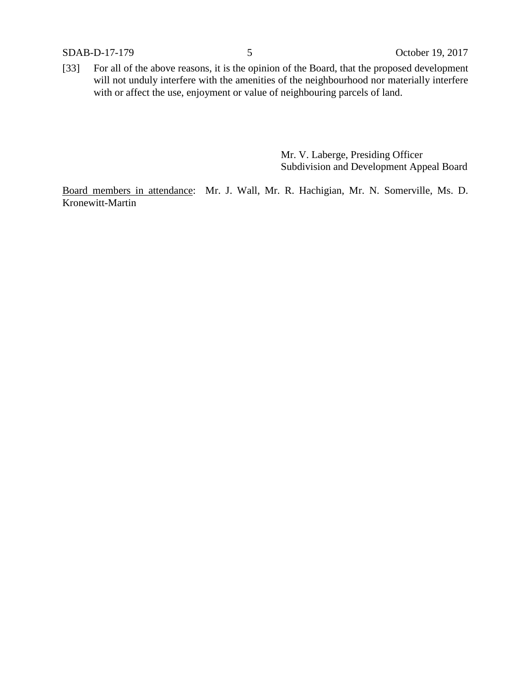SDAB-D-17-179 5 October 19, 2017

[33] For all of the above reasons, it is the opinion of the Board, that the proposed development will not unduly interfere with the amenities of the neighbourhood nor materially interfere with or affect the use, enjoyment or value of neighbouring parcels of land.

> Mr. V. Laberge, Presiding Officer Subdivision and Development Appeal Board

Board members in attendance: Mr. J. Wall, Mr. R. Hachigian, Mr. N. Somerville, Ms. D. Kronewitt-Martin